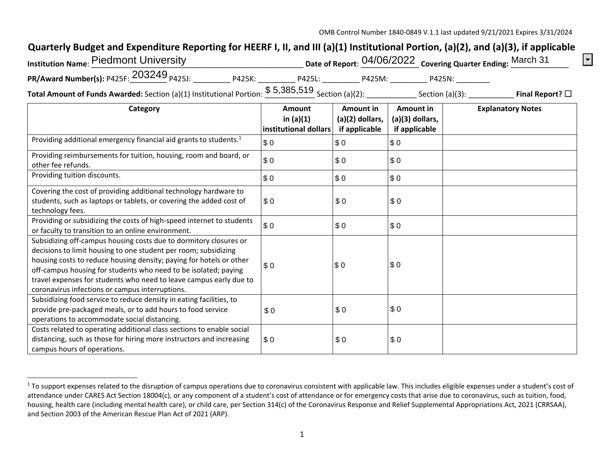$|\mathbf{\cdot}|$ 

## **Quarterly Budget and Expenditure Reporting for HEERF I, II, and III (a)(1) Institutional Portion, (a)(2), and (a)(3), if applicable**

| <b>Institution Name: Piedmont University</b>                                                             |        |        |        | Date of Report: 04/06/2022 Covering Quarter Ending: March 31 |                         |
|----------------------------------------------------------------------------------------------------------|--------|--------|--------|--------------------------------------------------------------|-------------------------|
| PR/Award Number(s): P425F: 203249 <sub>P425J:</sub>                                                      | P425K: | P425L: | P425M: | P425N:                                                       |                         |
| <b>Total Amount of Funds Awarded:</b> Section (a)(1) Institutional Portion: $$5,385,519$ Section (a)(2): |        |        |        | Section $(a)(3)$ :                                           | Final Report? $\square$ |

**Category Amount in (a)(1) institutional dollarsAmount in (a)(2) dollars, if applicable Amount in (a)(3) dollars, if applicable Explanatory Notes**  Providing additional emergency financial aid grants to students.1 Providing reimbursements for tuition, housing, room and board, or other fee refunds. Providing tuition discounts. Covering the cost of providing additional technology hardware to students, such as laptops or tablets, or covering the added cost of technology fees. Providing or subsidizing the costs of high‐speed internet to students or faculty to transition to an online environment. Subsidizing off‐campus housing costs due to dormitory closures or decisions to limit housing to one student per room; subsidizing housing costs to reduce housing density; paying for hotels or other off-campus housing for students who need to be isolated; paying travel expenses for students who need to leave campus early due to coronavirus infections or campus interruptions. Subsidizing food service to reduce density in eating facilities, to provide pre‐packaged meals, or to add hours to food service operations to accommodate social distancing. Costs related to operating additional class sections to enable social distancing, such as those for hiring more instructors and increasing campus hours of operations. \$ 00 \$ 0 \$ 0 \$ 00 \$ 0 \$ 0 \$ 00 \$ 0 \$ 0  $$0$ 0 \$ 0 \$ 0 \$ 00 \$ 0 \$ 0 \$ 00 \$ 0 \$ 0 \$ 0 \$ 0 \$ 0  $$0$ 0 \$ 0 \$ 0

<sup>&</sup>lt;sup>1</sup> To support expenses related to the disruption of campus operations due to coronavirus consistent with applicable law. This includes eligible expenses under a student's cost of attendance under CARES Act Section 18004(c), or any component of a student's cost of attendance or for emergency costs that arise due to coronavirus, such as tuition, food, housing, health care (including mental health care), or child care, per Section 314(c) of the Coronavirus Response and Relief Supplemental Appropriations Act, 2021 (CRRSAA), and Section 2003 of the American Rescue Plan Act of 2021 (ARP).